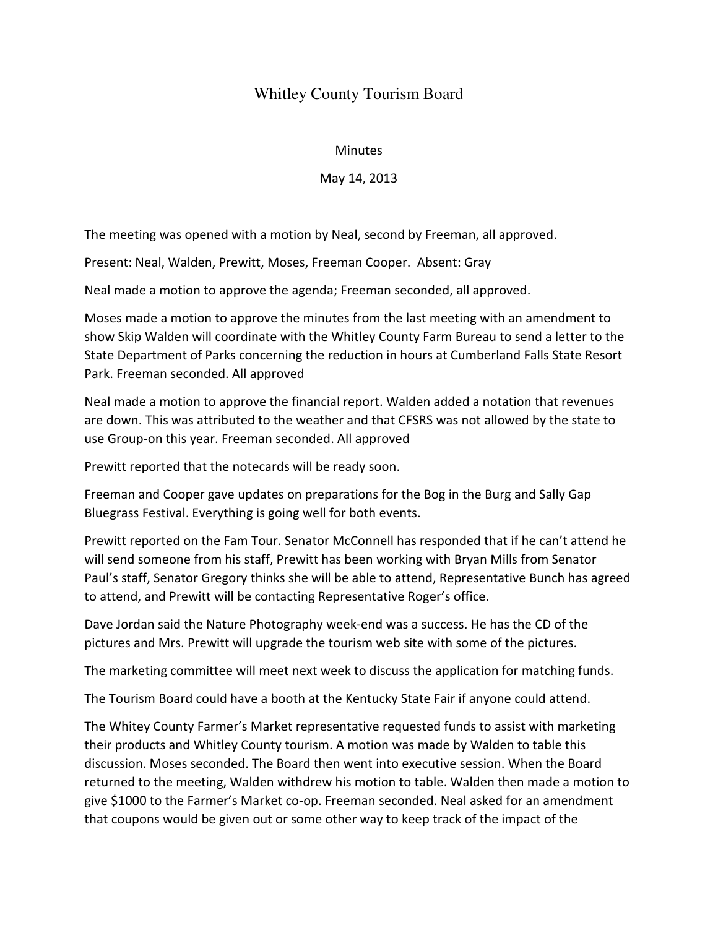## Whitley County Tourism Board

## **Minutes**

## May 14, 2013

The meeting was opened with a motion by Neal, second by Freeman, all approved.

Present: Neal, Walden, Prewitt, Moses, Freeman Cooper. Absent: Gray

Neal made a motion to approve the agenda; Freeman seconded, all approved.

Moses made a motion to approve the minutes from the last meeting with an amendment to show Skip Walden will coordinate with the Whitley County Farm Bureau to send a letter to the State Department of Parks concerning the reduction in hours at Cumberland Falls State Resort Park. Freeman seconded. All approved

Neal made a motion to approve the financial report. Walden added a notation that revenues are down. This was attributed to the weather and that CFSRS was not allowed by the state to use Group-on this year. Freeman seconded. All approved

Prewitt reported that the notecards will be ready soon.

Freeman and Cooper gave updates on preparations for the Bog in the Burg and Sally Gap Bluegrass Festival. Everything is going well for both events.

Prewitt reported on the Fam Tour. Senator McConnell has responded that if he can't attend he will send someone from his staff, Prewitt has been working with Bryan Mills from Senator Paul's staff, Senator Gregory thinks she will be able to attend, Representative Bunch has agreed to attend, and Prewitt will be contacting Representative Roger's office.

Dave Jordan said the Nature Photography week-end was a success. He has the CD of the pictures and Mrs. Prewitt will upgrade the tourism web site with some of the pictures.

The marketing committee will meet next week to discuss the application for matching funds.

The Tourism Board could have a booth at the Kentucky State Fair if anyone could attend.

The Whitey County Farmer's Market representative requested funds to assist with marketing their products and Whitley County tourism. A motion was made by Walden to table this discussion. Moses seconded. The Board then went into executive session. When the Board returned to the meeting, Walden withdrew his motion to table. Walden then made a motion to give \$1000 to the Farmer's Market co-op. Freeman seconded. Neal asked for an amendment that coupons would be given out or some other way to keep track of the impact of the